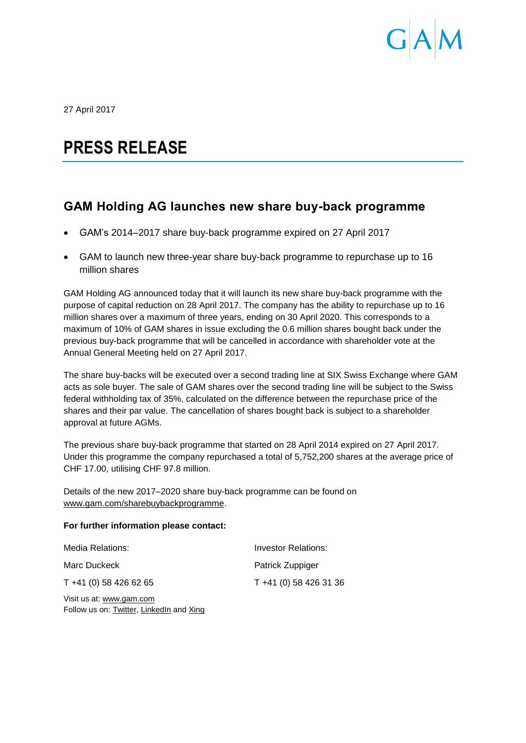

27 April 2017

## **PRESS RELEASE**

## **GAM Holding AG launches new share buy-back programme**

- GAM's 2014–2017 share buy-back programme expired on 27 April 2017
- GAM to launch new three-year share buy-back programme to repurchase up to 16 million shares

GAM Holding AG announced today that it will launch its new share buy-back programme with the purpose of capital reduction on 28 April 2017. The company has the ability to repurchase up to 16 million shares over a maximum of three years, ending on 30 April 2020. This corresponds to a maximum of 10% of GAM shares in issue excluding the 0.6 million shares bought back under the previous buy-back programme that will be cancelled in accordance with shareholder vote at the Annual General Meeting held on 27 April 2017.

The share buy-backs will be executed over a second trading line at SIX Swiss Exchange where GAM acts as sole buyer. The sale of GAM shares over the second trading line will be subject to the Swiss federal withholding tax of 35%, calculated on the difference between the repurchase price of the shares and their par value. The cancellation of shares bought back is subject to a shareholder approval at future AGMs.

The previous share buy-back programme that started on 28 April 2014 expired on 27 April 2017. Under this programme the company repurchased a total of 5,752,200 shares at the average price of CHF 17.00, utilising CHF 97.8 million.

Details of the new 2017–2020 share buy-back programme can be found on [www.gam.com/sharebuybackprogramme.](http://www.gam.com/sharebuybackprogramme)

## **For further information please contact:**

| Media Relations:                           | Investor Relations:    |
|--------------------------------------------|------------------------|
| Marc Duckeck                               | Patrick Zuppiger       |
| T +41 (0) 58 426 62 65                     | T +41 (0) 58 426 31 36 |
| $\overline{\text{Unit}}$ us of www.aam aam |                        |

Visit us at: [www.gam.com](http://www.gam.com/) Follow us on[: Twitter,](https://twitter.com/gaminsights) [LinkedIn](https://www.linkedin.com/company/gam?trk=company_logo) and Xing